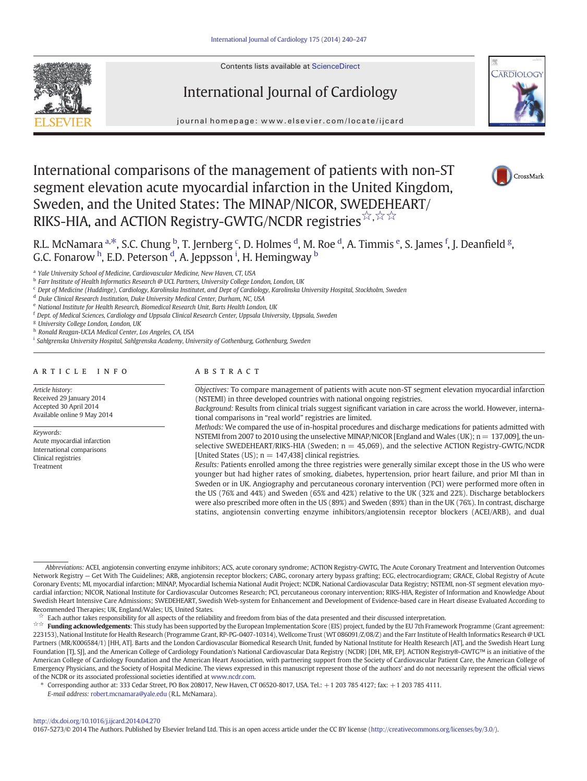Contents lists available at [ScienceDirect](http://www.sciencedirect.com/science/journal/01675273)







journal homepage: www.elsevier.com/locate/ijcard

# International comparisons of the management of patients with non-ST segment elevation acute myocardial infarction in the United Kingdom, Sweden, and the United States: The MINAP/NICOR, SWEDEHEART/ RIKS-HIA, and ACTION Registry-GWTG/NCDR registries<sup>☆,☆☆</sup>



R.L. McNamara <sup>a,\*</sup>, S.C. Chung <sup>b</sup>, T. Jernberg <sup>c</sup>, D. Holmes <sup>d</sup>, M. Roe <sup>d</sup>, A. Timmis <sup>e</sup>, S. James <sup>f</sup>, J. Deanfield <sup>g</sup>, G.C. Fonarow <sup>h</sup>, E.D. Peterson <sup>d</sup>, A. Jeppsson <sup>i</sup>, H. Hemingway <sup>b</sup>

<sup>a</sup> Yale University School of Medicine, Cardiovascular Medicine, New Haven, CT, USA

**b** Farr Institute of Health Informatics Research @ UCL Partners, University College London, London, UK

<sup>c</sup> Dept of Medicine (Huddinge), Cardiology, Karolinska Institutet, and Dept of Cardiology, Karolinska University Hospital, Stockholm, Sweden

<sup>d</sup> Duke Clinical Research Institution, Duke University Medical Center, Durham, NC, USA

<sup>e</sup> National Institute for Health Research, Biomedical Research Unit, Barts Health London, UK

<sup>f</sup> Dept. of Medical Sciences, Cardiology and Uppsala Clinical Research Center, Uppsala University, Uppsala, Sweden

<sup>g</sup> University College London, London, UK

h Ronald Reagan-UCLA Medical Center, Los Angeles, CA, USA

<sup>i</sup> Sahlgrenska University Hospital, Sahlgrenska Academy, University of Gothenburg, Gothenburg, Sweden

# article info abstract

Article history: Received 29 January 2014 Accepted 30 April 2014 Available online 9 May 2014

Keywords:

Acute myocardial infarction International comparisons Clinical registries Treatment

Objectives: To compare management of patients with acute non-ST segment elevation myocardial infarction (NSTEMI) in three developed countries with national ongoing registries.

Background: Results from clinical trials suggest significant variation in care across the world. However, international comparisons in "real world" registries are limited.

Methods: We compared the use of in-hospital procedures and discharge medications for patients admitted with NSTEMI from 2007 to 2010 using the unselective MINAP/NICOR [England and Wales (UK); n = 137,009], the unselective SWEDEHEART/RIKS-HIA (Sweden;  $n = 45,069$ ), and the selective ACTION Registry-GWTG/NCDR [United States (US);  $n = 147,438$ ] clinical registries.

Results: Patients enrolled among the three registries were generally similar except those in the US who were younger but had higher rates of smoking, diabetes, hypertension, prior heart failure, and prior MI than in Sweden or in UK. Angiography and percutaneous coronary intervention (PCI) were performed more often in the US (76% and 44%) and Sweden (65% and 42%) relative to the UK (32% and 22%). Discharge betablockers were also prescribed more often in the US (89%) and Sweden (89%) than in the UK (76%). In contrast, discharge statins, angiotensin converting enzyme inhibitors/angiotensin receptor blockers (ACEI/ARB), and dual

Each author takes responsibility for all aspects of the reliability and freedom from bias of the data presented and their discussed interpretation.

☆☆ Funding acknowledgements: This study has been supported by the European Implementation Score (EIS) project, funded by the EU 7th Framework Programme (Grant agreement: 223153), National Institute for Health Research (Programme Grant, RP-PG-0407-10314), Wellcome Trust (WT 086091/Z/08/Z) and the Farr Institute of Health Informatics Research @ UCL Partners (MR/K006584/1) [HH, AT]. Barts and the London Cardiovascular Biomedical Research Unit, funded by National Institute for Health Research [AT], and the Swedish Heart Lung Foundation [TJ, SJ], and the American College of Cardiology Foundation's National Cardiovascular Data Registry (NCDR) [DH, MR, EP]. ACTION Registry®-GWTG™ is an initiative of the American College of Cardiology Foundation and the American Heart Association, with partnering support from the Society of Cardiovascular Patient Care, the American College of Emergency Physicians, and the Society of Hospital Medicine. The views expressed in this manuscript represent those of the authors' and do not necessarily represent the official views of the NCDR or its associated professional societies identified at [www.ncdr.com](http://www.ncdr.com).

⁎ Corresponding author at: 333 Cedar Street, PO Box 208017, New Haven, CT 06520-8017, USA. Tel.: +1 203 785 4127; fax: +1 203 785 4111.

E-mail address: [robert.mcnamara@yale.edu](mailto:robert.mcnamara@yale.edu) (R.L. McNamara).

#### <http://dx.doi.org/10.1016/j.ijcard.2014.04.270>

0167-5273/© 2014 The Authors. Published by Elsevier Ireland Ltd. This is an open access article under the CC BY license (<http://creativecommons.org/licenses/by/3.0/>).

Abbreviations: ACEI, angiotensin converting enzyme inhibitors; ACS, acute coronary syndrome; ACTION Registry-GWTG, The Acute Coronary Treatment and Intervention Outcomes Network Registry — Get With The Guidelines; ARB, angiotensin receptor blockers; CABG, coronary artery bypass grafting; ECG, electrocardiogram; GRACE, Global Registry of Acute Coronary Events; MI, myocardial infarction; MINAP, Myocardial Ischemia National Audit Project; NCDR, National Cardiovascular Data Registry; NSTEMI, non-ST segment elevation myocardial infarction; NICOR, National Institute for Cardiovascular Outcomes Research; PCI, percutaneous coronary intervention; RIKS-HIA, Register of Information and Knowledge About Swedish Heart Intensive Care Admissions; SWEDEHEART, Swedish Web-system for Enhancement and Development of Evidence-based care in Heart disease Evaluated According to Recommended Therapies; UK, England/Wales; US, United States.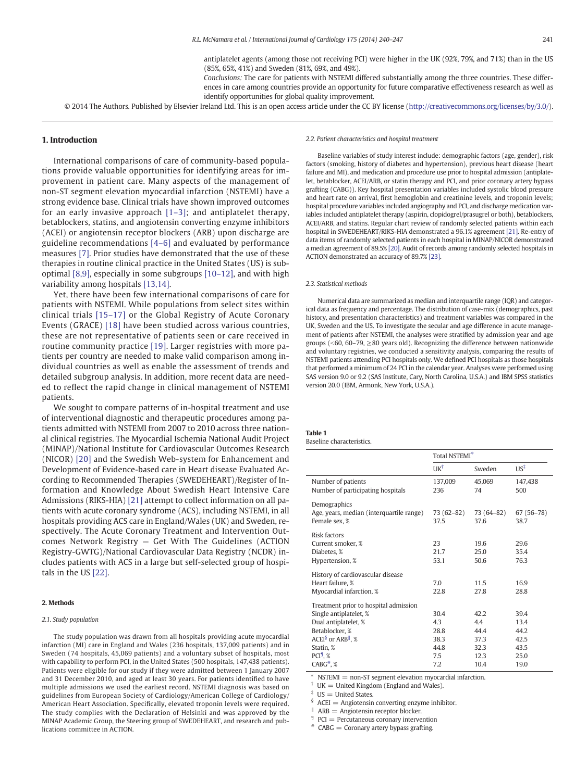antiplatelet agents (among those not receiving PCI) were higher in the UK (92%, 79%, and 71%) than in the US (85%, 65%, 41%) and Sweden (81%, 69%, and 49%).

Conclusions: The care for patients with NSTEMI differed substantially among the three countries. These differences in care among countries provide an opportunity for future comparative effectiveness research as well as identify opportunities for global quality improvement.

<span id="page-1-0"></span>© 2014 The Authors. Published by Elsevier Ireland Ltd. This is an open access article under the CC BY license [\(http://creativecommons.org/licenses/by/3.0/\)](http://creativecommons.org/licenses/by/3.0/).

#### 1. Introduction

International comparisons of care of community-based populations provide valuable opportunities for identifying areas for improvement in patient care. Many aspects of the management of non-ST segment elevation myocardial infarction (NSTEMI) have a strong evidence base. Clinical trials have shown improved outcomes for an early invasive approach [1–[3\];](#page-6-0) and antiplatelet therapy, betablockers, statins, and angiotensin converting enzyme inhibitors (ACEI) or angiotensin receptor blockers (ARB) upon discharge are guideline recommendations [\[4](#page-6-0)–6] and evaluated by performance measures [\[7\]](#page-6-0). Prior studies have demonstrated that the use of these therapies in routine clinical practice in the United States (US) is suboptimal [\[8,9\]](#page-6-0), especially in some subgroups [10–[12\],](#page-6-0) and with high variability among hospitals [\[13,14\].](#page-6-0)

Yet, there have been few international comparisons of care for patients with NSTEMI. While populations from select sites within clinical trials [15–[17\]](#page-6-0) or the Global Registry of Acute Coronary Events (GRACE) [\[18\]](#page-6-0) have been studied across various countries, these are not representative of patients seen or care received in routine community practice [\[19\].](#page-6-0) Larger registries with more patients per country are needed to make valid comparison among individual countries as well as enable the assessment of trends and detailed subgroup analysis. In addition, more recent data are needed to reflect the rapid change in clinical management of NSTEMI patients.

We sought to compare patterns of in-hospital treatment and use of interventional diagnostic and therapeutic procedures among patients admitted with NSTEMI from 2007 to 2010 across three national clinical registries. The Myocardial Ischemia National Audit Project (MINAP)/National Institute for Cardiovascular Outcomes Research (NICOR) [\[20\]](#page-6-0) and the Swedish Web-system for Enhancement and Development of Evidence-based care in Heart disease Evaluated According to Recommended Therapies (SWEDEHEART)/Register of Information and Knowledge About Swedish Heart Intensive Care Admissions (RIKS-HIA) [\[21\]](#page-6-0) attempt to collect information on all patients with acute coronary syndrome (ACS), including NSTEMI, in all hospitals providing ACS care in England/Wales (UK) and Sweden, respectively. The Acute Coronary Treatment and Intervention Outcomes Network Registry — Get With The Guidelines (ACTION Registry-GWTG)/National Cardiovascular Data Registry (NCDR) includes patients with ACS in a large but self-selected group of hospitals in the US [\[22\]](#page-6-0).

#### 2. Methods

#### 2.1. Study population

The study population was drawn from all hospitals providing acute myocardial infarction (MI) care in England and Wales (236 hospitals, 137,009 patients) and in Sweden (74 hospitals, 45,069 patients) and a voluntary subset of hospitals, most with capability to perform PCI, in the United States (500 hospitals, 147,438 patients). Patients were eligible for our study if they were admitted between 1 January 2007 and 31 December 2010, and aged at least 30 years. For patients identified to have multiple admissions we used the earliest record. NSTEMI diagnosis was based on guidelines from European Society of Cardiology/American College of Cardiology/ American Heart Association. Specifically, elevated troponin levels were required. The study complies with the Declaration of Helsinki and was approved by the MINAP Academic Group, the Steering group of SWEDEHEART, and research and publications committee in ACTION.

#### 2.2. Patient characteristics and hospital treatment

Baseline variables of study interest include: demographic factors (age, gender), risk factors (smoking, history of diabetes and hypertension), previous heart disease (heart failure and MI), and medication and procedure use prior to hospital admission (antiplatelet, betablocker, ACEI/ARB, or statin therapy and PCI, and prior coronary artery bypass grafting (CABG)). Key hospital presentation variables included systolic blood pressure and heart rate on arrival, first hemoglobin and creatinine levels, and troponin levels; hospital procedure variables included angiography and PCI, and discharge medication variables included antiplatelet therapy (aspirin, clopidogrel/prasugrel or both), betablockers, ACEI/ARB, and statins. Regular chart review of randomly selected patients within each hospital in SWEDEHEART/RIKS-HIA demonstrated a 96.1% agreement [\[21\].](#page-6-0) Re-entry of data items of randomly selected patients in each hospital in MINAP/NICOR demonstrated a median agreement of 89.5% [\[20\].](#page-6-0) Audit of records among randomly selected hospitals in ACTION demonstrated an accuracy of 89.7% [\[23\].](#page-7-0)

#### 2.3. Statistical methods

Numerical data are summarized as median and interquartile range (IQR) and categorical data as frequency and percentage. The distribution of case-mix (demographics, past history, and presentation characteristics) and treatment variables was compared in the UK, Sweden and the US. To investigate the secular and age difference in acute management of patients after NSTEMI, the analyses were stratified by admission year and age groups (<60, 60–79,  $\geq$ 80 years old). Recognizing the difference between nationwide and voluntary registries, we conducted a sensitivity analysis, comparing the results of NSTEMI patients attending PCI hospitals only. We defined PCI hospitals as those hospitals that performed a minimum of 24 PCI in the calendar year. Analyses were performed using SAS version 9.0 or 9.2 (SAS Institute, Cary, North Carolina, U.S.A.) and IBM SPSS statistics version 20.0 (IBM, Armonk, New York, U.S.A.).

# Table 1

Baseline characteristics.

|                                                                                                                                                                                                            | Total NSTEMI <sup>*</sup>                         |                                                     |                                                      |  |  |
|------------------------------------------------------------------------------------------------------------------------------------------------------------------------------------------------------------|---------------------------------------------------|-----------------------------------------------------|------------------------------------------------------|--|--|
|                                                                                                                                                                                                            | UK <sup>†</sup>                                   | Sweden                                              | $US^{\ddagger}$                                      |  |  |
| Number of patients<br>Number of participating hospitals                                                                                                                                                    | 137,009<br>236                                    | 45,069<br>74                                        | 147.438<br>500                                       |  |  |
| Demographics<br>Age, years, median (interquartile range)<br>Female sex, %                                                                                                                                  | 73 (62–82)<br>37.5                                | 73 (64–82)<br>37.6                                  | 67 (56-78)<br>38.7                                   |  |  |
| Risk factors<br>Current smoker, %<br>Diabetes, %<br>Hypertension, %                                                                                                                                        | 23<br>21.7<br>53.1                                | 19.6<br>25.0<br>50.6                                | 29.6<br>35.4<br>76.3                                 |  |  |
| History of cardiovascular disease<br>Heart failure, %<br>Myocardial infarction, %                                                                                                                          | 7.0<br>22.8                                       | 11.5<br>27.8                                        | 16.9<br>28.8                                         |  |  |
| Treatment prior to hospital admission<br>Single antiplatelet, %<br>Dual antiplatelet, %<br>Betablocker, %<br>ACEI <sup>§</sup> or ARB <sup> </sup> , %<br>Statin, %<br>$PCI9$ , %<br>$CABG^*, \mathcal{X}$ | 30.4<br>4.3<br>28.8<br>38.3<br>44.8<br>7.5<br>7.2 | 42.2<br>4.4<br>44.4<br>37.3<br>32.3<br>12.3<br>10.4 | 39.4<br>13.4<br>44.2<br>42.5<br>43.5<br>25.0<br>19.0 |  |  |

 $NSTEMI = non-ST$  segment elevation myocardial infarction.

 $UK = United Kingdom$  (England and Wales).

 $US =$  United States.

ACEI = Angiotensin converting enzyme inhibitor.

 $ARB =$  Angiotensin receptor blocker.

 $\P$  PCI = Percutaneous coronary intervention

 $*$  CABG = Coronary artery bypass grafting.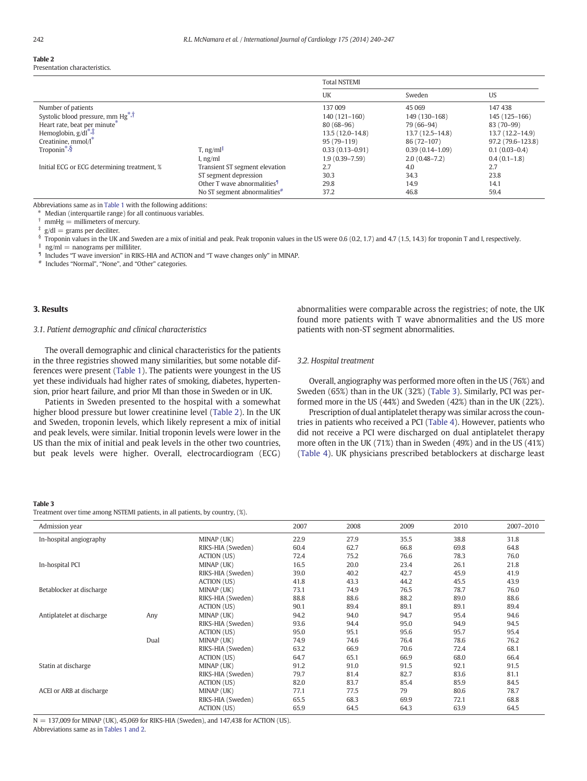# <span id="page-2-0"></span>Table 2

| Presentation characteristics. |  |
|-------------------------------|--|
|                               |  |

|                                               |                                          | <b>Total NSTEMI</b> |                     |                     |  |  |
|-----------------------------------------------|------------------------------------------|---------------------|---------------------|---------------------|--|--|
|                                               |                                          | UK                  | Sweden              | US                  |  |  |
| Number of patients                            |                                          | 137 009             | 45 0 69             | 147438              |  |  |
| Systolic blood pressure, mm Hg <sup>*,T</sup> |                                          | 140 (121-160)       | 149 (130-168)       | 145 (125-166)       |  |  |
| Heart rate, beat per minute*                  |                                          | $80(68-96)$         | 79 (66-94)          | 83 (70-99)          |  |  |
| Hemoglobin, $g/dl^*$ .                        |                                          | $13.5(12.0-14.8)$   | 13.7 (12.5-14.8)    | $13.7(12.2 - 14.9)$ |  |  |
| Creatinine, $mmol/\mathbf{I}^*$               |                                          | 95 (79-119)         | 86 (72-107)         | 97.2 (79.6-123.8)   |  |  |
| Troponin <sup>*,<math>\S</math></sup>         | $T$ , ng/ml $\parallel$                  | $0.33(0.13 - 0.91)$ | $0.39(0.14 - 1.09)$ | $0.1(0.03-0.4)$     |  |  |
|                                               | I, $ng/ml$                               | $1.9(0.39 - 7.59)$  | $2.0(0.48-7.2)$     | $0.4(0.1-1.8)$      |  |  |
| Initial ECG or ECG determining treatment, %   | Transient ST segment elevation           | 2.7                 | 4.0                 | 2.7                 |  |  |
|                                               | ST segment depression                    | 30.3                | 34.3                | 23.8                |  |  |
|                                               | Other T wave abnormalities <sup>9</sup>  | 29.8                | 14.9                | 14.1                |  |  |
|                                               | No ST segment abnormalities <sup>#</sup> | 37.2                | 46.8                | 59.4                |  |  |

Abbreviations same as in [Table 1](#page-1-0) with the following additions:

 $*$  Median (interquartile range) for all continuous variables.

 $mmHg = millimeters of mercury.$ 

 $g/dl =$  grams per deciliter.

§ Troponin values in the UK and Sweden are a mix of initial and peak. Peak troponin values in the US were 0.6 (0.2, 1.7) and 4.7 (1.5, 14.3) for troponin T and I, respectively.

 $\log/ml$  = nanograms per milliliter.

Includes "T wave inversion" in RIKS-HIA and ACTION and "T wave changes only" in MINAP.

# Includes "Normal", "None", and "Other" categories.

# 3. Results

### 3.1. Patient demographic and clinical characteristics

The overall demographic and clinical characteristics for the patients in the three registries showed many similarities, but some notable differences were present [\(Table 1\)](#page-1-0). The patients were youngest in the US yet these individuals had higher rates of smoking, diabetes, hypertension, prior heart failure, and prior MI than those in Sweden or in UK.

Patients in Sweden presented to the hospital with a somewhat higher blood pressure but lower creatinine level (Table 2). In the UK and Sweden, troponin levels, which likely represent a mix of initial and peak levels, were similar. Initial troponin levels were lower in the US than the mix of initial and peak levels in the other two countries, but peak levels were higher. Overall, electrocardiogram (ECG) abnormalities were comparable across the registries; of note, the UK found more patients with T wave abnormalities and the US more patients with non-ST segment abnormalities.

# 3.2. Hospital treatment

Overall, angiography was performed more often in the US (76%) and Sweden (65%) than in the UK (32%) (Table 3). Similarly, PCI was performed more in the US (44%) and Sweden (42%) than in the UK (22%).

Prescription of dual antiplatelet therapy was similar across the countries in patients who received a PCI [\(Table 4](#page-3-0)). However, patients who did not receive a PCI were discharged on dual antiplatelet therapy more often in the UK (71%) than in Sweden (49%) and in the US (41%) [\(Table 4\)](#page-3-0). UK physicians prescribed betablockers at discharge least

#### Table 3

Treatment over time among NSTEMI patients, in all patients, by country, (%).

| Admission year            |      |                    | 2007 | 2008 | 2009 | 2010 | 2007-2010 |
|---------------------------|------|--------------------|------|------|------|------|-----------|
| In-hospital angiography   |      | MINAP (UK)         | 22.9 | 27.9 | 35.5 | 38.8 | 31.8      |
|                           |      | RIKS-HIA (Sweden)  | 60.4 | 62.7 | 66.8 | 69.8 | 64.8      |
|                           |      | <b>ACTION (US)</b> | 72.4 | 75.2 | 76.6 | 78.3 | 76.0      |
| In-hospital PCI           |      | MINAP (UK)         | 16.5 | 20.0 | 23.4 | 26.1 | 21.8      |
|                           |      | RIKS-HIA (Sweden)  | 39.0 | 40.2 | 42.7 | 45.9 | 41.9      |
|                           |      | ACTION (US)        | 41.8 | 43.3 | 44.2 | 45.5 | 43.9      |
| Betablocker at discharge  |      | MINAP (UK)         | 73.1 | 74.9 | 76.5 | 78.7 | 76.0      |
|                           |      | RIKS-HIA (Sweden)  | 88.8 | 88.6 | 88.2 | 89.0 | 88.6      |
|                           |      | <b>ACTION</b> (US) | 90.1 | 89.4 | 89.1 | 89.1 | 89.4      |
| Antiplatelet at discharge | Any  | MINAP (UK)         | 94.2 | 94.0 | 94.7 | 95.4 | 94.6      |
|                           |      | RIKS-HIA (Sweden)  | 93.6 | 94.4 | 95.0 | 94.9 | 94.5      |
|                           |      | ACTION (US)        | 95.0 | 95.1 | 95.6 | 95.7 | 95.4      |
|                           | Dual | MINAP (UK)         | 74.9 | 74.6 | 76.4 | 78.6 | 76.2      |
|                           |      | RIKS-HIA (Sweden)  | 63.2 | 66.9 | 70.6 | 72.4 | 68.1      |
|                           |      | <b>ACTION (US)</b> | 64.7 | 65.1 | 66.9 | 68.0 | 66.4      |
| Statin at discharge       |      | MINAP (UK)         | 91.2 | 91.0 | 91.5 | 92.1 | 91.5      |
|                           |      | RIKS-HIA (Sweden)  | 79.7 | 81.4 | 82.7 | 83.6 | 81.1      |
|                           |      | ACTION (US)        | 82.0 | 83.7 | 85.4 | 85.9 | 84.5      |
| ACEI or ARB at discharge  |      | MINAP (UK)         | 77.1 | 77.5 | 79   | 80.6 | 78.7      |
|                           |      | RIKS-HIA (Sweden)  | 65.5 | 68.3 | 69.9 | 72.1 | 68.8      |
|                           |      | <b>ACTION (US)</b> | 65.9 | 64.5 | 64.3 | 63.9 | 64.5      |

 $N = 137,009$  for MINAP (UK), 45,069 for RIKS-HIA (Sweden), and 147,438 for ACTION (US). Abbreviations same as in [Tables 1 and 2.](#page-1-0)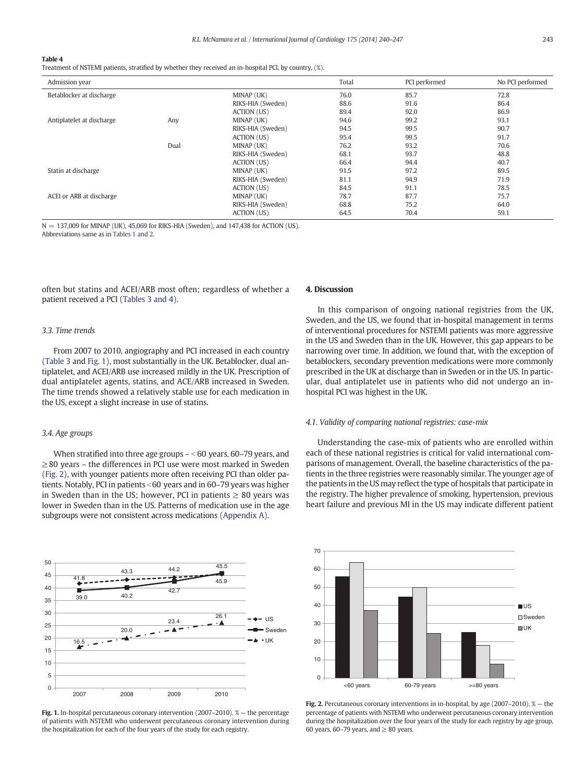<span id="page-3-0"></span>Treatment of NSTEMI patients, stratified by whether they received an in-hospital PCI, by country, (%).

| Admission year            |      |                    | Total | PCI performed | No PCI performed |
|---------------------------|------|--------------------|-------|---------------|------------------|
| Betablocker at discharge  |      | MINAP (UK)         | 76.0  | 85.7          | 72.8             |
|                           |      | RIKS-HIA (Sweden)  | 88.6  | 91.6          | 86.4             |
|                           |      | ACTION (US)        | 89.4  | 92.0          | 86.9             |
| Antiplatelet at discharge | Any  | MINAP (UK)         | 94.6  | 99.2          | 93.1             |
|                           |      | RIKS-HIA (Sweden)  | 94.5  | 99.5          | 90.7             |
|                           |      | <b>ACTION</b> (US) | 95.4  | 99.5          | 91.7             |
|                           | Dual | MINAP (UK)         | 76.2  | 93.2          | 70.6             |
|                           |      | RIKS-HIA (Sweden)  | 68.1  | 93.7          | 48.8             |
|                           |      | ACTION (US)        | 66.4  | 94.4          | 40.7             |
| Statin at discharge       |      | MINAP (UK)         | 91.5  | 97.2          | 89.5             |
|                           |      | RIKS-HIA (Sweden)  | 81.1  | 94.9          | 71.9             |
|                           |      | ACTION (US)        | 84.5  | 91.1          | 78.5             |
| ACEI or ARB at discharge  |      | MINAP (UK)         | 78.7  | 87.7          | 75.7             |
|                           |      | RIKS-HIA (Sweden)  | 68.8  | 75.2          | 64.0             |
|                           |      | <b>ACTION</b> (US) | 64.5  | 70.4          | 59.1             |

 $N = 137,009$  for MINAP (UK), 45,069 for RIKS-HIA (Sweden), and 147,438 for ACTION (US). Abbreviations same as in [Tables 1 and 2](#page-1-0).

often but statins and ACEI/ARB most often; regardless of whether a patient received a PCI ([Tables 3 and 4\)](#page-2-0).

#### 3.3. Time trends

From 2007 to 2010, angiography and PCI increased in each country [\(Table 3](#page-2-0) and Fig. 1), most substantially in the UK. Betablocker, dual antiplatelet, and ACEI/ARB use increased mildly in the UK. Prescription of dual antiplatelet agents, statins, and ACE/ARB increased in Sweden. The time trends showed a relatively stable use for each medication in the US, except a slight increase in use of statins.

#### 3.4. Age groups

When stratified into three age groups  $-\leq 60$  years, 60–79 years, and ≥80 years – the differences in PCI use were most marked in Sweden (Fig. 2), with younger patients more often receiving PCI than older patients. Notably, PCI in patients  $<$  60 years and in 60–79 years was higher in Sweden than in the US; however, PCI in patients  $\geq 80$  years was lower in Sweden than in the US. Patterns of medication use in the age subgroups were not consistent across medications [\(Appendix A\)](#page-5-0).



Fig. 1. In-hospital percutaneous coronary intervention (2007–2010). % - the percentage of patients with NSTEMI who underwent percutaneous coronary intervention during the hospitalization for each of the four years of the study for each registry.

#### 4. Discussion

In this comparison of ongoing national registries from the UK, Sweden, and the US, we found that in-hospital management in terms of interventional procedures for NSTEMI patients was more aggressive in the US and Sweden than in the UK. However, this gap appears to be narrowing over time. In addition, we found that, with the exception of betablockers, secondary prevention medications were more commonly prescribed in the UK at discharge than in Sweden or in the US. In particular, dual antiplatelet use in patients who did not undergo an inhospital PCI was highest in the UK.

# 4.1. Validity of comparing national registries: case-mix

Understanding the case-mix of patients who are enrolled within each of these national registries is critical for valid international comparisons of management. Overall, the baseline characteristics of the patients in the three registries were reasonably similar. The younger age of the patients in the US may reflect the type of hospitals that participate in the registry. The higher prevalence of smoking, hypertension, previous heart failure and previous MI in the US may indicate different patient



Fig. 2. Percutaneous coronary interventions in in-hospital, by age (2007–2010). % — the percentage of patients with NSTEMI who underwent percutaneous coronary intervention during the hospitalization over the four years of the study for each registry by age group, 60 years, 60–79 years, and  $\geq 80$  years.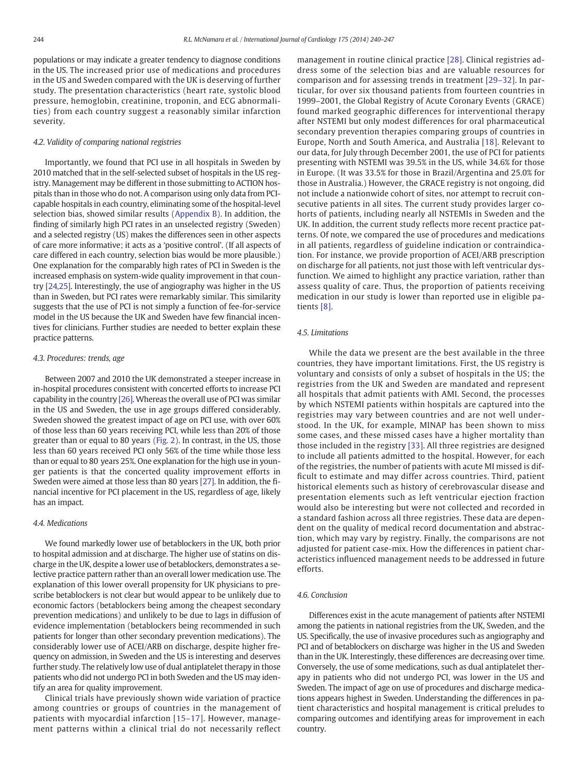populations or may indicate a greater tendency to diagnose conditions in the US. The increased prior use of medications and procedures in the US and Sweden compared with the UK is deserving of further study. The presentation characteristics (heart rate, systolic blood pressure, hemoglobin, creatinine, troponin, and ECG abnormalities) from each country suggest a reasonably similar infarction severity.

### 4.2. Validity of comparing national registries

Importantly, we found that PCI use in all hospitals in Sweden by 2010 matched that in the self-selected subset of hospitals in the US registry. Management may be different in those submitting to ACTION hospitals than in those who do not. A comparison using only data from PCIcapable hospitals in each country, eliminating some of the hospital-level selection bias, showed similar results ([Appendix B](#page-6-0)). In addition, the finding of similarly high PCI rates in an unselected registry (Sweden) and a selected registry (US) makes the differences seen in other aspects of care more informative; it acts as a 'positive control'. (If all aspects of care differed in each country, selection bias would be more plausible.) One explanation for the comparably high rates of PCI in Sweden is the increased emphasis on system-wide quality improvement in that country [\[24,25\].](#page-7-0) Interestingly, the use of angiography was higher in the US than in Sweden, but PCI rates were remarkably similar. This similarity suggests that the use of PCI is not simply a function of fee-for-service model in the US because the UK and Sweden have few financial incentives for clinicians. Further studies are needed to better explain these practice patterns.

#### 4.3. Procedures: trends, age

Between 2007 and 2010 the UK demonstrated a steeper increase in in-hospital procedures consistent with concerted efforts to increase PCI capability in the country [\[26\].](#page-7-0) Whereas the overall use of PCI was similar in the US and Sweden, the use in age groups differed considerably. Sweden showed the greatest impact of age on PCI use, with over 60% of those less than 60 years receiving PCI, while less than 20% of those greater than or equal to 80 years ([Fig. 2\)](#page-3-0). In contrast, in the US, those less than 60 years received PCI only 56% of the time while those less than or equal to 80 years 25%. One explanation for the high use in younger patients is that the concerted quality improvement efforts in Sweden were aimed at those less than 80 years [\[27\]](#page-7-0). In addition, the financial incentive for PCI placement in the US, regardless of age, likely has an impact.

# 4.4. Medications

We found markedly lower use of betablockers in the UK, both prior to hospital admission and at discharge. The higher use of statins on discharge in the UK, despite a lower use of betablockers, demonstrates a selective practice pattern rather than an overall lower medication use. The explanation of this lower overall propensity for UK physicians to prescribe betablockers is not clear but would appear to be unlikely due to economic factors (betablockers being among the cheapest secondary prevention medications) and unlikely to be due to lags in diffusion of evidence implementation (betablockers being recommended in such patients for longer than other secondary prevention medications). The considerably lower use of ACEI/ARB on discharge, despite higher frequency on admission, in Sweden and the US is interesting and deserves further study. The relatively low use of dual antiplatelet therapy in those patients who did not undergo PCI in both Sweden and the US may identify an area for quality improvement.

Clinical trials have previously shown wide variation of practice among countries or groups of countries in the management of patients with myocardial infarction [\[15](#page-6-0)–17]. However, management patterns within a clinical trial do not necessarily reflect

management in routine clinical practice [\[28\]](#page-7-0). Clinical registries address some of the selection bias and are valuable resources for comparison and for assessing trends in treatment [29–[32\].](#page-7-0) In particular, for over six thousand patients from fourteen countries in 1999–2001, the Global Registry of Acute Coronary Events (GRACE) found marked geographic differences for interventional therapy after NSTEMI but only modest differences for oral pharmaceutical secondary prevention therapies comparing groups of countries in Europe, North and South America, and Australia [\[18\].](#page-6-0) Relevant to our data, for July through December 2001, the use of PCI for patients presenting with NSTEMI was 39.5% in the US, while 34.6% for those in Europe. (It was 33.5% for those in Brazil/Argentina and 25.0% for those in Australia.) However, the GRACE registry is not ongoing, did not include a nationwide cohort of sites, nor attempt to recruit consecutive patients in all sites. The current study provides larger cohorts of patients, including nearly all NSTEMIs in Sweden and the UK. In addition, the current study reflects more recent practice patterns. Of note, we compared the use of procedures and medications in all patients, regardless of guideline indication or contraindication. For instance, we provide proportion of ACEI/ARB prescription on discharge for all patients, not just those with left ventricular dysfunction. We aimed to highlight any practice variation, rather than assess quality of care. Thus, the proportion of patients receiving medication in our study is lower than reported use in eligible patients [\[8\]](#page-6-0).

#### 4.5. Limitations

While the data we present are the best available in the three countries, they have important limitations. First, the US registry is voluntary and consists of only a subset of hospitals in the US; the registries from the UK and Sweden are mandated and represent all hospitals that admit patients with AMI. Second, the processes by which NSTEMI patients within hospitals are captured into the registries may vary between countries and are not well understood. In the UK, for example, MINAP has been shown to miss some cases, and these missed cases have a higher mortality than those included in the registry [\[33\].](#page-7-0) All three registries are designed to include all patients admitted to the hospital. However, for each of the registries, the number of patients with acute MI missed is difficult to estimate and may differ across countries. Third, patient historical elements such as history of cerebrovascular disease and presentation elements such as left ventricular ejection fraction would also be interesting but were not collected and recorded in a standard fashion across all three registries. These data are dependent on the quality of medical record documentation and abstraction, which may vary by registry. Finally, the comparisons are not adjusted for patient case-mix. How the differences in patient characteristics influenced management needs to be addressed in future efforts.

#### 4.6. Conclusion

Differences exist in the acute management of patients after NSTEMI among the patients in national registries from the UK, Sweden, and the US. Specifically, the use of invasive procedures such as angiography and PCI and of betablockers on discharge was higher in the US and Sweden than in the UK. Interestingly, these differences are decreasing over time. Conversely, the use of some medications, such as dual antiplatelet therapy in patients who did not undergo PCI, was lower in the US and Sweden. The impact of age on use of procedures and discharge medications appears highest in Sweden. Understanding the differences in patient characteristics and hospital management is critical preludes to comparing outcomes and identifying areas for improvement in each country.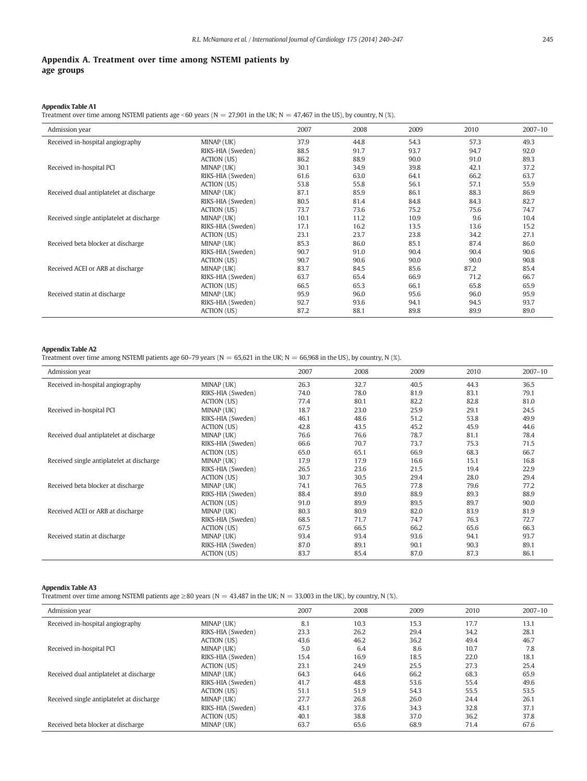# <span id="page-5-0"></span>Appendix A. Treatment over time among NSTEMI patients by age groups

#### Appendix Table A1

Treatment over time among NSTEMI patients age <60 years (N = 27,901 in the UK; N = 47,467 in the US), by country, N (%).

| Admission year                            |                   | 2007 | 2008 | 2009 | 2010 | $2007 - 10$ |
|-------------------------------------------|-------------------|------|------|------|------|-------------|
| Received in-hospital angiography          | MINAP (UK)        | 37.9 | 44.8 | 54.3 | 57.3 | 49.3        |
|                                           | RIKS-HIA (Sweden) | 88.5 | 91.7 | 93.7 | 94.7 | 92.0        |
|                                           | ACTION (US)       | 86.2 | 88.9 | 90.0 | 91.0 | 89.3        |
| Received in-hospital PCI                  | MINAP (UK)        | 30.1 | 34.9 | 39.8 | 42.1 | 37.2        |
|                                           | RIKS-HIA (Sweden) | 61.6 | 63.0 | 64.1 | 66.2 | 63.7        |
|                                           | ACTION (US)       | 53.8 | 55.8 | 56.1 | 57.1 | 55.9        |
| Received dual antiplatelet at discharge   | MINAP (UK)        | 87.1 | 85.9 | 86.1 | 88.3 | 86.9        |
|                                           | RIKS-HIA (Sweden) | 80.5 | 81.4 | 84.8 | 84.3 | 82.7        |
|                                           | ACTION (US)       | 73.7 | 73.6 | 75.2 | 75.6 | 74.7        |
| Received single antiplatelet at discharge | MINAP (UK)        | 10.1 | 11.2 | 10.9 | 9.6  | 10.4        |
|                                           | RIKS-HIA (Sweden) | 17.1 | 16.2 | 13.5 | 13.6 | 15.2        |
|                                           | ACTION (US)       | 23.1 | 23.7 | 23.8 | 34.2 | 27.1        |
| Received beta blocker at discharge        | MINAP (UK)        | 85.3 | 86.0 | 85.1 | 87.4 | 86.0        |
|                                           | RIKS-HIA (Sweden) | 90.7 | 91.0 | 90.4 | 90.4 | 90.6        |
|                                           | ACTION (US)       | 90.7 | 90.6 | 90.0 | 90.0 | 90.8        |
| Received ACEI or ARB at discharge         | MINAP (UK)        | 83.7 | 84.5 | 85.6 | 87,2 | 85.4        |
|                                           | RIKS-HIA (Sweden) | 63.7 | 65.4 | 66.9 | 71.2 | 66.7        |
|                                           | ACTION (US)       | 66.5 | 65.3 | 66.1 | 65.8 | 65.9        |
| Received statin at discharge              | MINAP (UK)        | 95.9 | 96.0 | 95.6 | 96.0 | 95.9        |
|                                           | RIKS-HIA (Sweden) | 92.7 | 93.6 | 94.1 | 94.5 | 93.7        |
|                                           | ACTION (US)       | 87.2 | 88.1 | 89.8 | 89.9 | 89.0        |

# Appendix Table A2

Treatment over time among NSTEMI patients age 60–79 years (N = 65,621 in the UK; N = 66,968 in the US), by country, N (%).

| Admission year                            |                   | 2007 | 2008 | 2009 | 2010 | $2007 - 10$ |
|-------------------------------------------|-------------------|------|------|------|------|-------------|
| Received in-hospital angiography          | MINAP (UK)        | 26.3 | 32.7 | 40.5 | 44.3 | 36.5        |
|                                           | RIKS-HIA (Sweden) | 74.0 | 78.0 | 81.9 | 83.1 | 79.1        |
|                                           | ACTION (US)       | 77.4 | 80.1 | 82.2 | 82.8 | 81.0        |
| Received in-hospital PCI                  | MINAP (UK)        | 18.7 | 23.0 | 25.9 | 29.1 | 24.5        |
|                                           | RIKS-HIA (Sweden) | 46.1 | 48.6 | 51.2 | 53.8 | 49.9        |
|                                           | ACTION (US)       | 42.8 | 43.5 | 45.2 | 45.9 | 44.6        |
| Received dual antiplatelet at discharge   | MINAP (UK)        | 76.6 | 76.6 | 78.7 | 81.1 | 78.4        |
|                                           | RIKS-HIA (Sweden) | 66.6 | 70.7 | 73.7 | 75.3 | 71.5        |
|                                           | ACTION (US)       | 65.0 | 65.1 | 66.9 | 68.3 | 66.7        |
| Received single antiplatelet at discharge | MINAP (UK)        | 17.9 | 17.9 | 16.6 | 15.1 | 16.8        |
|                                           | RIKS-HIA (Sweden) | 26.5 | 23.6 | 21.5 | 19.4 | 22.9        |
|                                           | ACTION (US)       | 30.7 | 30.5 | 29.4 | 28.0 | 29.4        |
| Received beta blocker at discharge        | MINAP (UK)        | 74.1 | 76.5 | 77.8 | 79.6 | 77.2        |
|                                           | RIKS-HIA (Sweden) | 88.4 | 89.0 | 88.9 | 89.3 | 88.9        |
|                                           | ACTION (US)       | 91.0 | 89.9 | 89.5 | 89.7 | 90.0        |
| Received ACEI or ARB at discharge         | MINAP (UK)        | 80.3 | 80.9 | 82.0 | 83.9 | 81.9        |
|                                           | RIKS-HIA (Sweden) | 68.5 | 71.7 | 74.7 | 76.3 | 72.7        |
|                                           | ACTION (US)       | 67.5 | 66.5 | 66.2 | 65.6 | 66.3        |
| Received statin at discharge              | MINAP (UK)        | 93.4 | 93.4 | 93.6 | 94.1 | 93.7        |
|                                           | RIKS-HIA (Sweden) | 87.0 | 89.1 | 90.1 | 90.3 | 89.1        |
|                                           | ACTION (US)       | 83.7 | 85.4 | 87.0 | 87.3 | 86.1        |

# Appendix Table A3

Treatment over time among NSTEMI patients age ≥80 years (N = 43,487 in the UK; N = 33,003 in the UK), by country, N (%).

| Admission year                            |                    | 2007 | 2008 | 2009 | 2010 | $2007 - 10$ |
|-------------------------------------------|--------------------|------|------|------|------|-------------|
| Received in-hospital angiography          | MINAP (UK)         | 8.1  | 10.3 | 15.3 | 17.7 | 13.1        |
|                                           | RIKS-HIA (Sweden)  | 23.3 | 26.2 | 29.4 | 34.2 | 28.1        |
|                                           | ACTION (US)        | 43.6 | 46.2 | 36.2 | 49.4 | 46.7        |
| Received in-hospital PCI                  | MINAP (UK)         | 5.0  | 6.4  | 8.6  | 10.7 | 7.8         |
|                                           | RIKS-HIA (Sweden)  | 15.4 | 16.9 | 18.5 | 22.0 | 18.1        |
|                                           | <b>ACTION (US)</b> | 23.1 | 24.9 | 25.5 | 27.3 | 25.4        |
| Received dual antiplatelet at discharge   | MINAP (UK)         | 64.3 | 64.6 | 66.2 | 68.3 | 65.9        |
|                                           | RIKS-HIA (Sweden)  | 41.7 | 48.8 | 53.6 | 55.4 | 49.6        |
|                                           | <b>ACTION</b> (US) | 51.1 | 51.9 | 54.3 | 55.5 | 53.5        |
| Received single antiplatelet at discharge | MINAP (UK)         | 27.7 | 26.8 | 26.0 | 24.4 | 26.1        |
|                                           | RIKS-HIA (Sweden)  | 43.1 | 37.6 | 34.3 | 32.8 | 37.1        |
|                                           | ACTION (US)        | 40.1 | 38.8 | 37.0 | 36.2 | 37.8        |
| Received beta blocker at discharge        | MINAP (UK)         | 63.7 | 65.6 | 68.9 | 71.4 | 67.6        |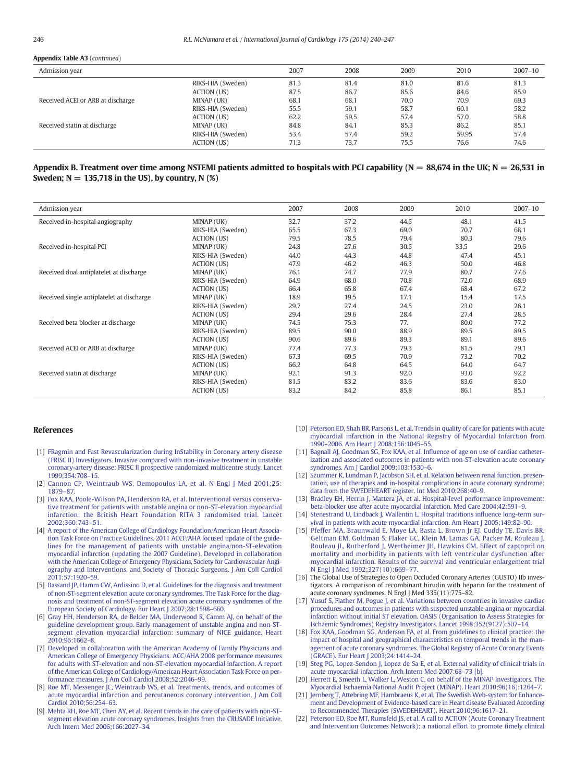#### <span id="page-6-0"></span>Appendix Table A3 (continued)

| Admission year                    |                   | 2007 | 2008 | 2009 | 2010  | $2007 - 10$ |
|-----------------------------------|-------------------|------|------|------|-------|-------------|
|                                   | RIKS-HIA (Sweden) | 81.3 | 81.4 | 81.0 | 81.6  | 81.3        |
|                                   | ACTION (US)       | 87.5 | 86.7 | 85.6 | 84.6  | 85.9        |
| Received ACEI or ARB at discharge | MINAP (UK)        | 68.1 | 68.1 | 70.0 | 70.9  | 69.3        |
|                                   | RIKS-HIA (Sweden) | 55.5 | 59.1 | 58.7 | 60.1  | 58.2        |
|                                   | ACTION (US)       | 62.2 | 59.5 | 57.4 | 57.0  | 58.8        |
| Received statin at discharge      | MINAP (UK)        | 84.8 | 84.1 | 85.3 | 86.2  | 85.1        |
|                                   | RIKS-HIA (Sweden) | 53.4 | 57.4 | 59.2 | 59.95 | 57.4        |
|                                   | ACTION (US)       | 71.3 | 73.7 | 75.5 | 76.6  | 74.6        |

# Appendix B. Treatment over time among NSTEMI patients admitted to hospitals with PCI capability ( $N = 88,674$  in the UK;  $N = 26,531$  in Sweden;  $N = 135,718$  in the US), by country, N  $(\%)$

| Admission year                            |                   | 2007 | 2008 | 2009 | 2010 | $2007 - 10$ |
|-------------------------------------------|-------------------|------|------|------|------|-------------|
| Received in-hospital angiography          | MINAP (UK)        | 32.7 | 37.2 | 44.5 | 48.1 | 41.5        |
|                                           | RIKS-HIA (Sweden) | 65.5 | 67.3 | 69.0 | 70.7 | 68.1        |
|                                           | ACTION (US)       | 79.5 | 78.5 | 79.4 | 80.3 | 79.6        |
| Received in-hospital PCI                  | MINAP (UK)        | 24.8 | 27.6 | 30.5 | 33,5 | 29.6        |
|                                           | RIKS-HIA (Sweden) | 44.0 | 44.3 | 44.8 | 47.4 | 45.1        |
|                                           | ACTION (US)       | 47.9 | 46.2 | 46.3 | 50.0 | 46.8        |
| Received dual antiplatelet at discharge   | MINAP (UK)        | 76.1 | 74.7 | 77.9 | 80.7 | 77.6        |
|                                           | RIKS-HIA (Sweden) | 64.9 | 68.0 | 70.8 | 72.0 | 68.9        |
|                                           | ACTION (US)       | 66.4 | 65.8 | 67.4 | 68.4 | 67.2        |
| Received single antiplatelet at discharge | MINAP (UK)        | 18.9 | 19.5 | 17.1 | 15.4 | 17.5        |
|                                           | RIKS-HIA (Sweden) | 29.7 | 27.4 | 24.5 | 23.0 | 26.1        |
|                                           | ACTION (US)       | 29.4 | 29.6 | 28.4 | 27.4 | 28.5        |
| Received beta blocker at discharge        | MINAP (UK)        | 74.5 | 75.3 | 77.  | 80.0 | 77.2        |
|                                           | RIKS-HIA (Sweden) | 89.5 | 90.0 | 88.9 | 89.5 | 89.5        |
|                                           | ACTION (US)       | 90.6 | 89.6 | 89.3 | 89.1 | 89.6        |
| Received ACEI or ARB at discharge         | MINAP (UK)        | 77.4 | 77.3 | 79.3 | 81.5 | 79.1        |
|                                           | RIKS-HIA (Sweden) | 67.3 | 69.5 | 70.9 | 73.2 | 70.2        |
|                                           | ACTION (US)       | 66.2 | 64.8 | 64.5 | 64.0 | 64.7        |
| Received statin at discharge              | MINAP (UK)        | 92.1 | 91.3 | 92.0 | 93.0 | 92.2        |
|                                           | RIKS-HIA (Sweden) | 81.5 | 83.2 | 83.6 | 83.6 | 83.0        |
|                                           | ACTION (US)       | 83.2 | 84.2 | 85.8 | 86.1 | 85.1        |

#### References

- [1] [FRagmin and Fast Revascularization during InStability in Coronary artery disease](http://refhub.elsevier.com/S0167-5273(14)00967-X/rf0130) [\(FRISC II\) Investigators. Invasive compared with non-invasive treatment in unstable](http://refhub.elsevier.com/S0167-5273(14)00967-X/rf0130) [coronary-artery disease: FRISC II prospective randomized multicentre study. Lancet](http://refhub.elsevier.com/S0167-5273(14)00967-X/rf0130) [1999;354:708](http://refhub.elsevier.com/S0167-5273(14)00967-X/rf0130)–15.
- [2] [Cannon CP, Weintraub WS, Demopoulos LA, et al. N Engl J Med 2001;25:](http://refhub.elsevier.com/S0167-5273(14)00967-X/rf0110) [1879](http://refhub.elsevier.com/S0167-5273(14)00967-X/rf0110)–87.
- [3] [Fox KAA, Poole-Wilson PA, Henderson RA, et al. Interventional versus conserva](http://refhub.elsevier.com/S0167-5273(14)00967-X/rf0115)[tive treatment for patients with unstable angina or non-ST-elevation myocardial](http://refhub.elsevier.com/S0167-5273(14)00967-X/rf0115) [infarction: the British Heart Foundation RITA 3 randomised trial. Lancet](http://refhub.elsevier.com/S0167-5273(14)00967-X/rf0115) [2002;360:743](http://refhub.elsevier.com/S0167-5273(14)00967-X/rf0115)–51.
- [4] [A report of the American College of Cardiology Foundation/American Heart Associa](http://refhub.elsevier.com/S0167-5273(14)00967-X/rf0135)[tion Task Force on Practice Guidelines. 2011 ACCF/AHA focused update of the guide](http://refhub.elsevier.com/S0167-5273(14)00967-X/rf0135)[lines for the management of patients with unstable angina/non-ST-elevation](http://refhub.elsevier.com/S0167-5273(14)00967-X/rf0135) [myocardial infarction \(updating the 2007 Guideline\). Developed in collaboration](http://refhub.elsevier.com/S0167-5273(14)00967-X/rf0135) [with the American College of Emergency Physicians, Society for Cardiovascular Angi](http://refhub.elsevier.com/S0167-5273(14)00967-X/rf0135)[ography and Interventions, and Society of Thoracic Surgeons. J Am Coll Cardiol](http://refhub.elsevier.com/S0167-5273(14)00967-X/rf0135) [2011;57:1920](http://refhub.elsevier.com/S0167-5273(14)00967-X/rf0135)–59.
- [5] [Bassand JP, Hamm CW, Ardissino D, et al. Guidelines for the diagnosis and treatment](http://refhub.elsevier.com/S0167-5273(14)00967-X/rf0140) [of non-ST-segment elevation acute coronary syndromes. The Task Force for the diag](http://refhub.elsevier.com/S0167-5273(14)00967-X/rf0140)[nosis and treatment of non-ST-segment elevation acute coronary syndromes of the](http://refhub.elsevier.com/S0167-5273(14)00967-X/rf0140) [European Society of Cardiology. Eur Heart J 2007;28:1598](http://refhub.elsevier.com/S0167-5273(14)00967-X/rf0140)–660.
- [6] [Gray HH, Henderson RA, de Belder MA, Underwood R, Camm AJ, on behalf of the](http://refhub.elsevier.com/S0167-5273(14)00967-X/rf0120) [guideline development group. Early management of unstable angina and non-ST](http://refhub.elsevier.com/S0167-5273(14)00967-X/rf0120)[segment elevation myocardial infarction: summary of NICE guidance. Heart](http://refhub.elsevier.com/S0167-5273(14)00967-X/rf0120) [2010;96:1662](http://refhub.elsevier.com/S0167-5273(14)00967-X/rf0120)–8.
- [7] [Developed in collaboration with the American Academy of Family Physicians and](http://refhub.elsevier.com/S0167-5273(14)00967-X/rf0145) [American College of Emergency Physicians. ACC/AHA 2008 performance measures](http://refhub.elsevier.com/S0167-5273(14)00967-X/rf0145) [for adults with ST-elevation and non-ST-elevation myocardial infarction. A report](http://refhub.elsevier.com/S0167-5273(14)00967-X/rf0145) [of the American College of Cardiology/American Heart Association Task Force on per](http://refhub.elsevier.com/S0167-5273(14)00967-X/rf0145)[formance measures. J Am Coll Cardiol 2008;52:2046](http://refhub.elsevier.com/S0167-5273(14)00967-X/rf0145)–99.
- [8] [Roe MT, Messenger JC, Weintraub WS, et al. Treatments, trends, and outcomes of](http://refhub.elsevier.com/S0167-5273(14)00967-X/rf0125) [acute myocardial infarction and percutaneous coronary intervention. J Am Coll](http://refhub.elsevier.com/S0167-5273(14)00967-X/rf0125) [Cardiol 2010;56:254](http://refhub.elsevier.com/S0167-5273(14)00967-X/rf0125)–63.
- [9] [Mehta RH, Roe MT, Chen AY, et al. Recent trends in the care of patients with non-ST](http://refhub.elsevier.com/S0167-5273(14)00967-X/rf0005)[segment elevation acute coronary syndromes. Insights from the CRUSADE Initiative.](http://refhub.elsevier.com/S0167-5273(14)00967-X/rf0005) [Arch Intern Med 2006;166:2027](http://refhub.elsevier.com/S0167-5273(14)00967-X/rf0005)–34.
- [10] [Peterson ED, Shah BR, Parsons L, et al. Trends in quality of care for patients with acute](http://refhub.elsevier.com/S0167-5273(14)00967-X/rf0010) [myocardial infarction in the National Registry of Myocardial Infarction from](http://refhub.elsevier.com/S0167-5273(14)00967-X/rf0010) 1990–[2006. Am Heart J 2008;156:1045](http://refhub.elsevier.com/S0167-5273(14)00967-X/rf0010)–55.
- [11] [Bagnall AJ, Goodman SG, Fox KAA, et al. In](http://refhub.elsevier.com/S0167-5273(14)00967-X/rf0015)fluence of age on use of cardiac catheter[ization and associated outcomes in patients with non-ST-elevation acute coronary](http://refhub.elsevier.com/S0167-5273(14)00967-X/rf0015) [syndromes. Am J Cardiol 2009;103:1530](http://refhub.elsevier.com/S0167-5273(14)00967-X/rf0015)–6.
- [12] [Szummer K, Lundman P, Jacobson SH, et al. Relation between renal function, presen](http://refhub.elsevier.com/S0167-5273(14)00967-X/rf0020)[tation, use of therapies and in-hospital complications in acute coronary syndrome:](http://refhub.elsevier.com/S0167-5273(14)00967-X/rf0020) [data from the SWEDEHEART register. Int Med 2010;268:40](http://refhub.elsevier.com/S0167-5273(14)00967-X/rf0020)–9.
- [13] [Bradley EH, Herrin J, Mattera JA, et al. Hospital-level performance improvement:](http://refhub.elsevier.com/S0167-5273(14)00967-X/rf0025) [beta-blocker use after acute myocardial infarction. Med Care 2004;42:591](http://refhub.elsevier.com/S0167-5273(14)00967-X/rf0025)–9.
- [14] [Stenestrand U, Lindback J, Wallentin L. Hospital traditions in](http://refhub.elsevier.com/S0167-5273(14)00967-X/rf0030)fluence long-term sur[vival in patients with acute myocardial infarction. Am Heart J 2005;149:82](http://refhub.elsevier.com/S0167-5273(14)00967-X/rf0030)–90.
- [15] [Pfeffer MA, Braunwald E, Moye LA, Basta L, Brown Jr EJ, Cuddy TE, Davis BR,](http://refhub.elsevier.com/S0167-5273(14)00967-X/rf9000) [Geltman EM, Goldman S, Flaker GC, Klein M, Lamas GA, Packer M, Rouleau J,](http://refhub.elsevier.com/S0167-5273(14)00967-X/rf9000) [Rouleau JL, Rutherford J, Wertheimer JH, Hawkins CM. Effect of captopril on](http://refhub.elsevier.com/S0167-5273(14)00967-X/rf9000) [mortality and morbidity in patients with left ventricular dysfunction after](http://refhub.elsevier.com/S0167-5273(14)00967-X/rf9000) [myocardial infarction. Results of the survival and ventricular enlargement trial](http://refhub.elsevier.com/S0167-5273(14)00967-X/rf9000) [N Engl J Med 1992;327\(10\):669](http://refhub.elsevier.com/S0167-5273(14)00967-X/rf9000)–77.
- [16] The Global Use of Strategies to Open Occluded Coronary Arteries (GUSTO) IIb investigators. A comparison of recombinant hirudin with heparin for the treatment of acute coronary syndromes. N Engl J Med 335(11):775–82.
- [17] [Yusuf S, Flather M, Pogue J, et al. Variations between countries in invasive cardiac](http://refhub.elsevier.com/S0167-5273(14)00967-X/rf0035) [procedures and outcomes in patients with suspected unstable angina or myocardial](http://refhub.elsevier.com/S0167-5273(14)00967-X/rf0035) [infarction without initial ST elevation. OASIS \(Organisation to Assess Strategies for](http://refhub.elsevier.com/S0167-5273(14)00967-X/rf0035) [Ischaemic Syndromes\) Registry Investigators. Lancet 1998;352\(9127\):507](http://refhub.elsevier.com/S0167-5273(14)00967-X/rf0035)–14.
- [18] [Fox KAA, Goodman SG, Anderson FA, et al. From guidelines to clinical practice: the](http://refhub.elsevier.com/S0167-5273(14)00967-X/rf0040) [impact of hospital and geographical characteristics on temporal trends in the man](http://refhub.elsevier.com/S0167-5273(14)00967-X/rf0040)[agement of acute coronary syndromes. The Global Registry of Acute Coronary Events](http://refhub.elsevier.com/S0167-5273(14)00967-X/rf0040) [\(GRACE\). Eur Heart J 2003;24:1414](http://refhub.elsevier.com/S0167-5273(14)00967-X/rf0040)–24.
- [19] [Steg PG, Lopez-Sendon J, Lopez de Sa E, et al. External validity of clinical trials in](http://refhub.elsevier.com/S0167-5273(14)00967-X/rf0160) [acute myocardial infarction. Arch Intern Med 2007:68](http://refhub.elsevier.com/S0167-5273(14)00967-X/rf0160)–73 [b].
- [20] [Herrett E, Smeeth L, Walker L, Weston C, on behalf of the MINAP Investigators. The](http://refhub.elsevier.com/S0167-5273(14)00967-X/rf0165) [Myocardial Ischaemia National Audit Project \(MINAP\). Heart 2010;96\(16\):1264](http://refhub.elsevier.com/S0167-5273(14)00967-X/rf0165)–7.
- [21] [Jernberg T, Attebring MF, Hambraeus K, et al. The Swedish Web-system for Enhance](http://refhub.elsevier.com/S0167-5273(14)00967-X/rf0045)[ment and Development of Evidence-based care in Heart disease Evaluated According](http://refhub.elsevier.com/S0167-5273(14)00967-X/rf0045) [to Recommended Therapies \(SWEDEHEART\). Heart 2010;96:1617](http://refhub.elsevier.com/S0167-5273(14)00967-X/rf0045)–21.
- [22] [Peterson ED, Roe MT, Rumsfeld JS, et al. A call to ACTION \(Acute Coronary Treatment](http://refhub.elsevier.com/S0167-5273(14)00967-X/rf0050) [and Intervention Outcomes Network\): a national effort to promote timely clinical](http://refhub.elsevier.com/S0167-5273(14)00967-X/rf0050)